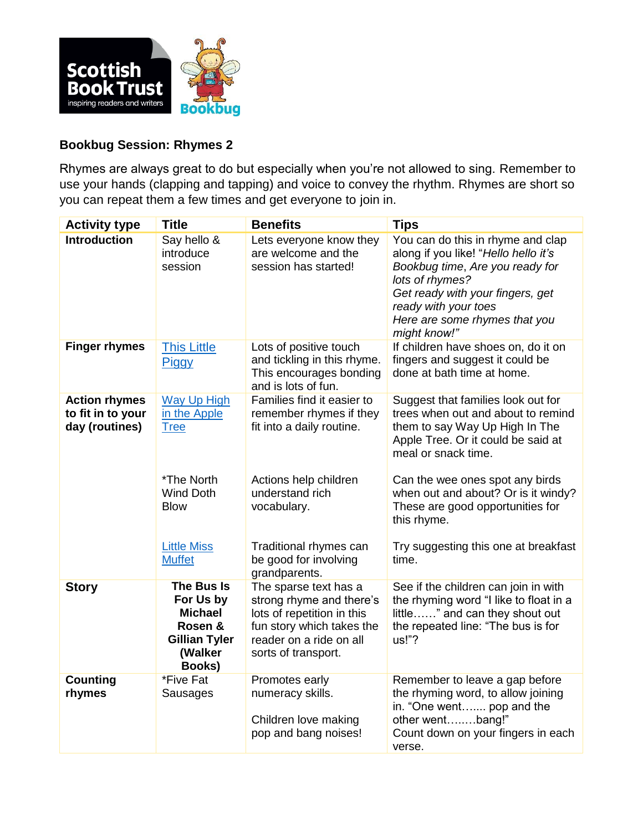

## **Bookbug Session: Rhymes 2**

Rhymes are always great to do but especially when you're not allowed to sing. Remember to use your hands (clapping and tapping) and voice to convey the rhythm. Rhymes are short so you can repeat them a few times and get everyone to join in.

| <b>Activity type</b>                                        | <b>Title</b>                                                                                      | <b>Benefits</b>                                                                                                                                                | <b>Tips</b>                                                                                                                                                                                                                                  |
|-------------------------------------------------------------|---------------------------------------------------------------------------------------------------|----------------------------------------------------------------------------------------------------------------------------------------------------------------|----------------------------------------------------------------------------------------------------------------------------------------------------------------------------------------------------------------------------------------------|
| <b>Introduction</b>                                         | Say hello &<br>introduce<br>session                                                               | Lets everyone know they<br>are welcome and the<br>session has started!                                                                                         | You can do this in rhyme and clap<br>along if you like! "Hello hello it's<br>Bookbug time, Are you ready for<br>lots of rhymes?<br>Get ready with your fingers, get<br>ready with your toes<br>Here are some rhymes that you<br>might know!" |
| <b>Finger rhymes</b>                                        | <b>This Little</b><br><b>Piggy</b>                                                                | Lots of positive touch<br>and tickling in this rhyme.<br>This encourages bonding<br>and is lots of fun.                                                        | If children have shoes on, do it on<br>fingers and suggest it could be<br>done at bath time at home.                                                                                                                                         |
| <b>Action rhymes</b><br>to fit in to your<br>day (routines) | <b>Way Up High</b><br>in the Apple<br><b>Tree</b>                                                 | Families find it easier to<br>remember rhymes if they<br>fit into a daily routine.                                                                             | Suggest that families look out for<br>trees when out and about to remind<br>them to say Way Up High In The<br>Apple Tree. Or it could be said at<br>meal or snack time.                                                                      |
|                                                             | *The North<br><b>Wind Doth</b><br><b>Blow</b>                                                     | Actions help children<br>understand rich<br>vocabulary.                                                                                                        | Can the wee ones spot any birds<br>when out and about? Or is it windy?<br>These are good opportunities for<br>this rhyme.                                                                                                                    |
|                                                             | <b>Little Miss</b><br><b>Muffet</b>                                                               | Traditional rhymes can<br>be good for involving<br>grandparents.                                                                                               | Try suggesting this one at breakfast<br>time.                                                                                                                                                                                                |
| <b>Story</b>                                                | The Bus Is<br>For Us by<br><b>Michael</b><br>Rosen &<br><b>Gillian Tyler</b><br>(Walker<br>Books) | The sparse text has a<br>strong rhyme and there's<br>lots of repetition in this<br>fun story which takes the<br>reader on a ride on all<br>sorts of transport. | See if the children can join in with<br>the rhyming word "I like to float in a<br>little" and can they shout out<br>the repeated line: "The bus is for<br>us!"?                                                                              |
| <b>Counting</b><br>rhymes                                   | *Five Fat<br>Sausages                                                                             | Promotes early<br>numeracy skills.<br>Children love making<br>pop and bang noises!                                                                             | Remember to leave a gap before<br>the rhyming word, to allow joining<br>in. "One went pop and the<br>other wentbang!"<br>Count down on your fingers in each<br>verse.                                                                        |